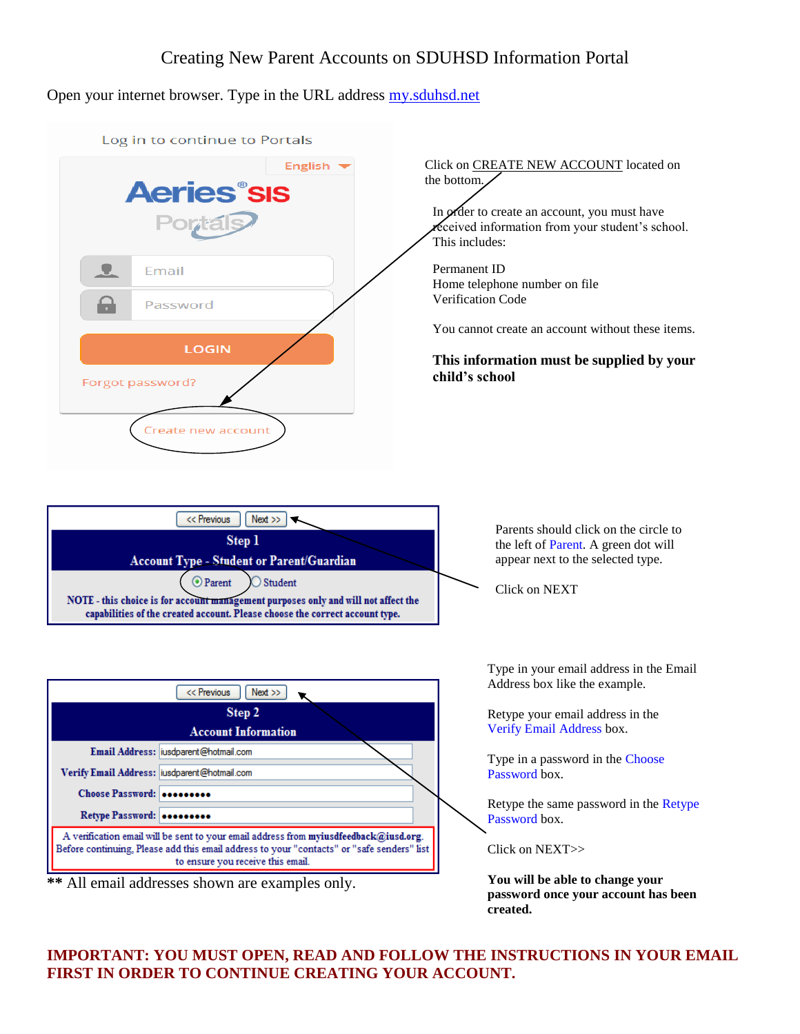## Creating New Parent Accounts on SDUHSD Information Portal

Open your internet browser. Type in the URL address my.sduhsd.net



## **IMPORTANT: YOU MUST OPEN, READ AND FOLLOW THE INSTRUCTIONS IN YOUR EMAIL FIRST IN ORDER TO CONTINUE CREATING YOUR ACCOUNT.**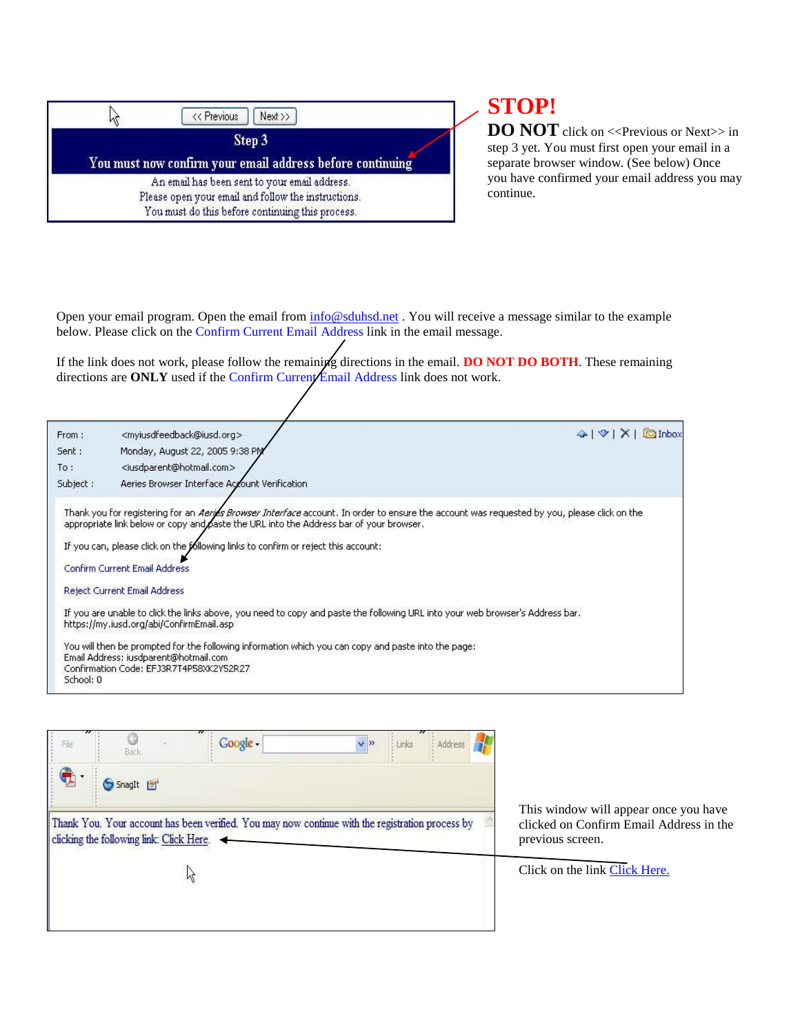| << Previous<br>$Next \rightarrow$                                                                       |
|---------------------------------------------------------------------------------------------------------|
| Step 3                                                                                                  |
| You must now confirm your email address before continuing                                               |
|                                                                                                         |
| An email has been sent to your email address.                                                           |
| Please open your email and follow the instructions.<br>You must do this before continuing this process. |

## **STOP!**

**DO NOT** click on <<Previous or Next>> in step 3 yet. You must first open your email in a separate browser window. (See below) Once you have confirmed your email address you may continue.

Open your email program. Open the email from  $\frac{info@soluhsd.net}{info@soluhsd.net}$ . You will receive a message similar to the example below. Please click on the Confirm Current Email Address link in the email message.

If the link does not work, please follow the remaining directions in the email. **DO NOT DO BOTH**. These remaining directions are **ONLY** used if the Confirm Current Email Address link does not work.

| From:     | <myiusdfeedback@iusd.org></myiusdfeedback@iusd.org>                                                                                                                                                                                          | $4$ $\forall$   $\times$   $\Box$ Inbox |
|-----------|----------------------------------------------------------------------------------------------------------------------------------------------------------------------------------------------------------------------------------------------|-----------------------------------------|
| Sent:     | Monday, August 22, 2005 9:38 PM                                                                                                                                                                                                              |                                         |
| To:       | <iusdparent@hotmail.com></iusdparent@hotmail.com>                                                                                                                                                                                            |                                         |
| Subject:  | Aeries Browser Interface Account Verification                                                                                                                                                                                                |                                         |
|           | Thank you for registering for an <i>Aerija Browser Interface</i> account. In order to ensure the account was requested by you, please click on the<br>appropriate link below or copy and oaste the URL into the Address bar of your browser. |                                         |
|           | If you can, please click on the following links to confirm or reject this account:                                                                                                                                                           |                                         |
|           | <b>Confirm Current Email Address</b>                                                                                                                                                                                                         |                                         |
|           | <b>Reject Current Email Address</b>                                                                                                                                                                                                          |                                         |
|           | If you are unable to click the links above, you need to copy and paste the following URL into your web browser's Address bar.<br>https://my.iusd.org/abi/ConfirmEmail.asp                                                                    |                                         |
|           | You will then be prompted for the following information which you can copy and paste into the page:<br>Email Address: jusdparent@hotmail.com<br>Confirmation Code: EFJ3R7T4P58XK2Y52R27                                                      |                                         |
| School: 0 |                                                                                                                                                                                                                                              |                                         |